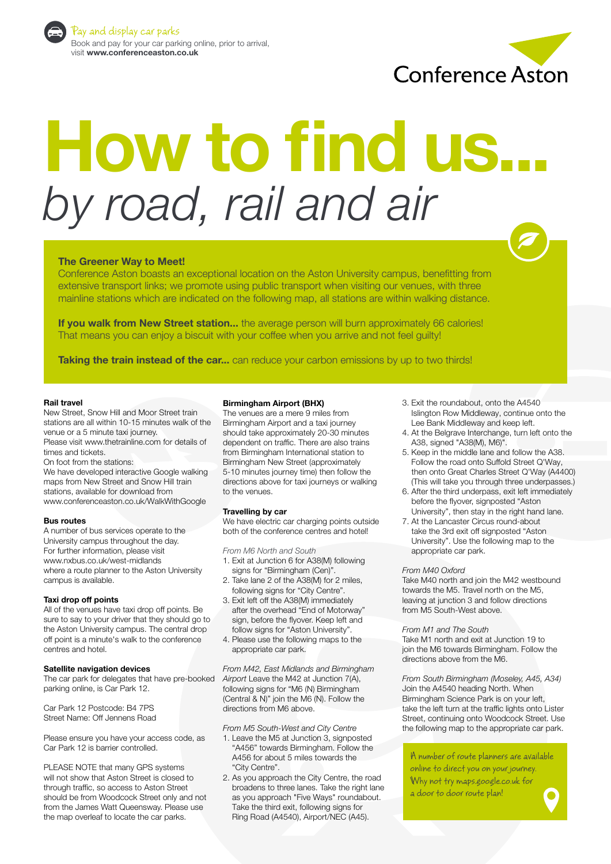

Pay and display car parks Book and pay for your car parking online, prior to arrival, visit **www.conferenceaston.co.uk**



# **How to find us...** *by road, rail and air*

### **The Greener Way to Meet!**

Conference Aston boasts an exceptional location on the Aston University campus, benefitting from extensive transport links; we promote using public transport when visiting our venues, with three mainline stations which are indicated on the following map, all stations are within walking distance.

**If you walk from New Street station...** the average person will burn approximately 66 calories! That means you can enjoy a biscuit with your coffee when you arrive and not feel guilty!

**Taking the train instead of the car...** can reduce your carbon emissions by up to two thirds!

#### **Rail travel**

New Street, Snow Hill and Moor Street train stations are all within 10-15 minutes walk of the venue or a 5 minute taxi journey. Please visit www.thetrainline.com for details of

times and tickets.

On foot from the stations:

We have developed interactive Google walking maps from New Street and Snow Hill train stations, available for download from www.conferenceaston.co.uk/WalkWithGoogle

#### **Bus routes**

A number of bus services operate to the University campus throughout the day. For further information, please visit www.nxbus.co.uk/west-midlands where a route planner to the Aston University campus is available.

#### **Taxi drop off points**

All of the venues have taxi drop off points. Be sure to say to your driver that they should go to the Aston University campus. The central drop off point is a minute's walk to the conference centres and hotel.

#### **Satellite navigation devices**

The car park for delegates that have pre-booked parking online, is Car Park 12.

Car Park 12 Postcode: B4 7PS Street Name: Off Jennens Road

Please ensure you have your access code, as Car Park 12 is barrier controlled.

PLEASE NOTE that many GPS systems will not show that Aston Street is closed to through traffic, so access to Aston Street should be from Woodcock Street only and not from the James Watt Queensway. Please use the map overleaf to locate the car parks.

#### **Birmingham Airport (BHX)**

The venues are a mere 9 miles from Birmingham Airport and a taxi journey should take approximately 20-30 minutes dependent on traffic. There are also trains from Birmingham International station to Birmingham New Street (approximately 5-10 minutes journey time) then follow the directions above for taxi journeys or walking to the venues.

#### **Travelling by car**

We have electric car charging points outside both of the conference centres and hotel!

*From M6 North and South*

- 1. Exit at Junction 6 for A38(M) following signs for "Birmingham (Cen)".
- 2. Take lane 2 of the A38(M) for 2 miles, following signs for "City Centre".
- 3. Exit left off the A38(M) immediately after the overhead "End of Motorway" sign, before the flyover. Keep left and follow signs for "Aston University".
- 4. Please use the following maps to the appropriate car park.

*From M42, East Midlands and Birmingham Airport* Leave the M42 at Junction 7(A), following signs for "M6 (N) Birmingham (Central & N)" join the M6 (N). Follow the directions from M6 above.

#### *From M5 South-West and City Centre*

- 1. Leave the M5 at Junction 3, signposted "A456" towards Birmingham. Follow the A456 for about 5 miles towards the "City Centre".
- 2. As you approach the City Centre, the road broadens to three lanes. Take the right lane as you approach "Five Ways" roundabout.<br>Take the third exit, following signs for Ring Road (A4540), Airport/NEC (A45).
- 3. Exit the roundabout, onto the A4540 Islington Row Middleway, continue onto the Lee Bank Middleway and keep left.
- 4. At the Belgrave Interchange, turn left onto the A38, signed "A38(M), M6)".
- 5. Keep in the middle lane and follow the A38. Follow the road onto Suffold Street Q'Way, then onto Great Charles Street Q'Way (A4400) (This will take you through three underpasses.)
- 6. After the third underpass, exit left immediately before the flyover, signposted "Aston University", then stay in the right hand lane.
- 7. At the Lancaster Circus round-about take the 3rd exit off signposted "Aston University". Use the following map to the appropriate car park.

#### *From M40 Oxford*

Take M40 north and join the M42 westbound towards the M5. Travel north on the M5, leaving at junction 3 and follow directions from M5 South-West above.

#### *From M1 and The South*

Take M1 north and exit at Junction 19 to join the M6 towards Birmingham. Follow the directions above from the M6.

*From South Birmingham (Moseley, A45, A34)* Join the A4540 heading North. When Birmingham Science Park is on your left, take the left turn at the traffic lights onto Lister Street, continuing onto Woodcock Street. Use the following map to the appropriate car park.

A number of route planners are available online to direct you on your journey. Why not try maps.google.co.uk for a door to door route plan!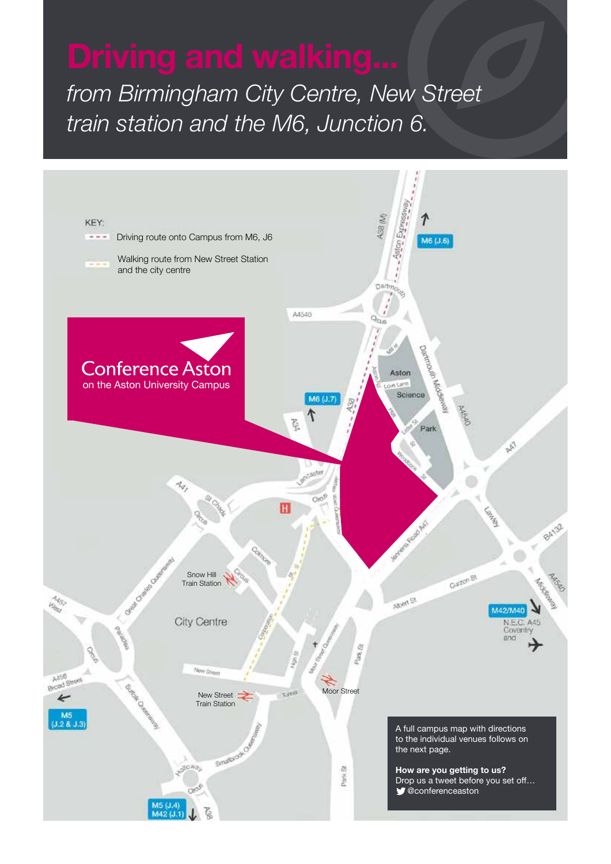*from Birmingham City Centre, New Street train station and the M6, Junction 6.*